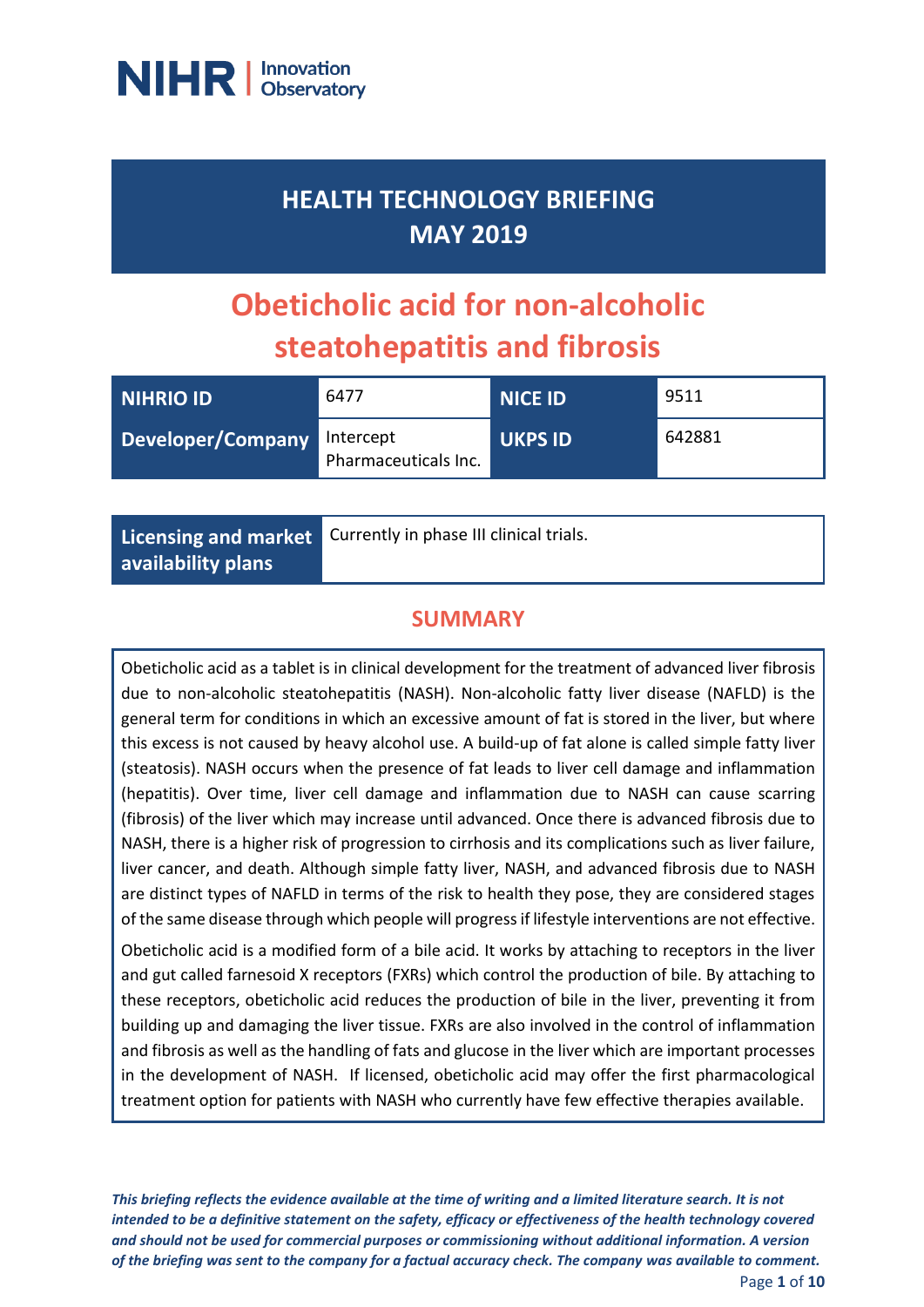

## **HEALTH TECHNOLOGY BRIEFING MAY 2019**

# **Obeticholic acid for non-alcoholic steatohepatitis and fibrosis**

| NIHRIO ID         | 6477                              | NICE ID        | 9511   |
|-------------------|-----------------------------------|----------------|--------|
| Developer/Company | Intercept<br>Pharmaceuticals Inc. | <b>UKPS ID</b> | 642881 |

**Licensing and market availability plans**

Currently in phase III clinical trials.

## **SUMMARY**

Obeticholic acid as a tablet is in clinical development for the treatment of advanced liver fibrosis due to non-alcoholic steatohepatitis (NASH). Non-alcoholic fatty liver disease (NAFLD) is the general term for conditions in which an excessive amount of fat is stored in the liver, but where this excess is not caused by heavy alcohol use. A build-up of fat alone is called simple fatty liver (steatosis). NASH occurs when the presence of fat leads to liver cell damage and inflammation (hepatitis). Over time, liver cell damage and inflammation due to NASH can cause scarring (fibrosis) of the liver which may increase until advanced. Once there is advanced fibrosis due to NASH, there is a higher risk of progression to cirrhosis and its complications such as liver failure, liver cancer, and death. Although simple fatty liver, NASH, and advanced fibrosis due to NASH are distinct types of NAFLD in terms of the risk to health they pose, they are considered stages of the same disease through which people will progress if lifestyle interventions are not effective.

Obeticholic acid is a modified form of a bile acid. It works by attaching to receptors in the liver and gut called farnesoid X receptors (FXRs) which control the production of bile. By attaching to these receptors, obeticholic acid reduces the production of bile in the liver, preventing it from building up and damaging the liver tissue. FXRs are also involved in the control of inflammation and fibrosis as well as the handling of fats and glucose in the liver which are important processes in the development of NASH. If licensed, obeticholic acid may offer the first pharmacological treatment option for patients with NASH who currently have few effective therapies available.

*This briefing reflects the evidence available at the time of writing and a limited literature search. It is not intended to be a definitive statement on the safety, efficacy or effectiveness of the health technology covered and should not be used for commercial purposes or commissioning without additional information. A version of the briefing was sent to the company for a factual accuracy check. The company was available to comment.* Page **1** of **10**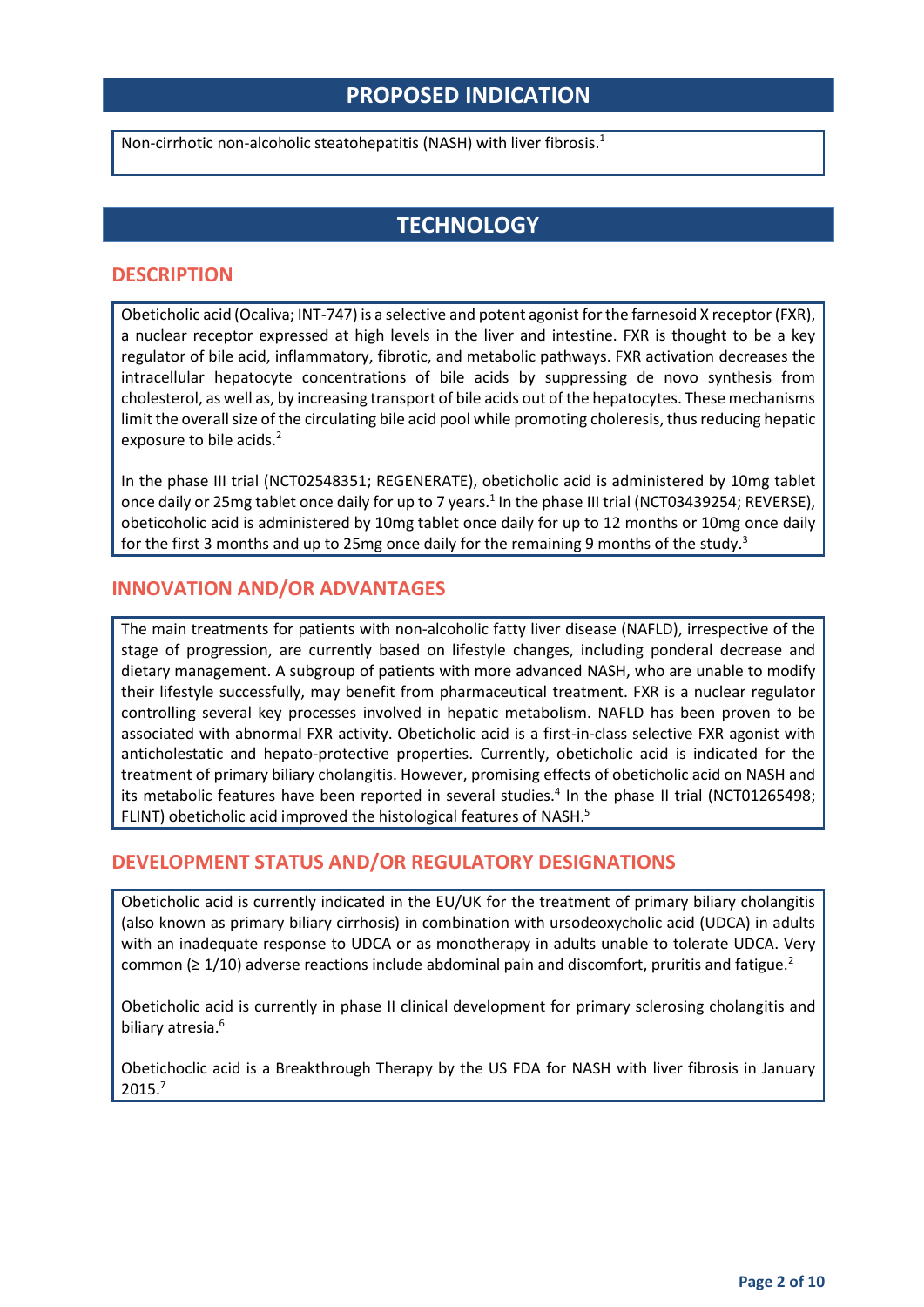## **PROPOSED INDICATION**

Non-cirrhotic non-alcoholic steatohepatitis (NASH) with liver fibrosis. 1

## **TECHNOLOGY**

#### **DESCRIPTION**

Obeticholic acid (Ocaliva; INT-747) is a selective and potent agonist for the farnesoid X receptor (FXR), a nuclear receptor expressed at high levels in the liver and intestine. FXR is thought to be a key regulator of bile acid, inflammatory, fibrotic, and metabolic pathways. FXR activation decreases the intracellular hepatocyte concentrations of bile acids by suppressing de novo synthesis from cholesterol, as well as, by increasing transport of bile acids out of the hepatocytes. These mechanisms limit the overall size of the circulating bile acid pool while promoting choleresis, thus reducing hepatic exposure to bile acids.<sup>2</sup>

In the phase III trial (NCT02548351; REGENERATE), obeticholic acid is administered by 10mg tablet once daily or 25mg tablet once daily for up to 7 years.<sup>1</sup> In the phase III trial (NCT03439254; REVERSE), obeticoholic acid is administered by 10mg tablet once daily for up to 12 months or 10mg once daily for the first 3 months and up to 25mg once daily for the remaining 9 months of the study.<sup>3</sup>

#### **INNOVATION AND/OR ADVANTAGES**

The main treatments for patients with non-alcoholic fatty liver disease (NAFLD), irrespective of the stage of progression, are currently based on lifestyle changes, including ponderal decrease and dietary management. A subgroup of patients with more advanced NASH, who are unable to modify their lifestyle successfully, may benefit from pharmaceutical treatment. FXR is a nuclear regulator controlling several key processes involved in hepatic metabolism. NAFLD has been proven to be associated with abnormal FXR activity. Obeticholic acid is a first-in-class selective FXR agonist with anticholestatic and hepato-protective properties. Currently, obeticholic acid is indicated for the treatment of primary biliary cholangitis. However, promising effects of obeticholic acid on NASH and its metabolic features have been reported in several studies.<sup>4</sup> In the phase II trial (NCT01265498; FLINT) obeticholic acid improved the histological features of NASH.<sup>5</sup>

#### **DEVELOPMENT STATUS AND/OR REGULATORY DESIGNATIONS**

Obeticholic acid is currently indicated in the EU/UK for the treatment of primary biliary cholangitis (also known as primary biliary cirrhosis) in combination with ursodeoxycholic acid (UDCA) in adults with an inadequate response to UDCA or as monotherapy in adults unable to tolerate UDCA. Very common ( $\geq 1/10$ ) adverse reactions include abdominal pain and discomfort, pruritis and fatigue.<sup>2</sup>

Obeticholic acid is currently in phase II clinical development for primary sclerosing cholangitis and biliary atresia.<sup>6</sup>

Obetichoclic acid is a Breakthrough Therapy by the US FDA for NASH with liver fibrosis in January 2015.7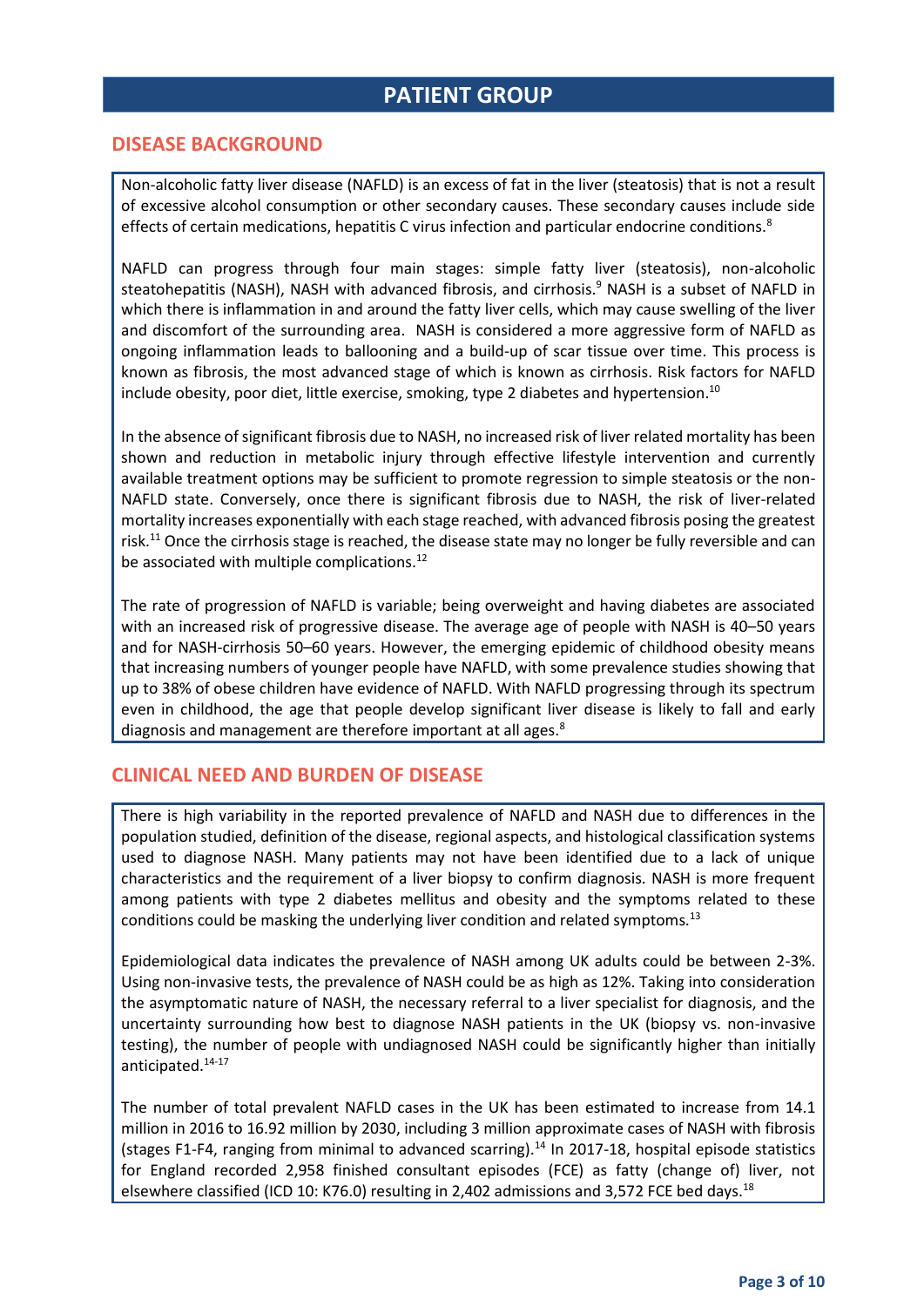## **PATIENT GROUP**

#### **DISEASE BACKGROUND**

Non-alcoholic fatty liver disease (NAFLD) is an excess of fat in the liver (steatosis) that is not a result of excessive alcohol consumption or other secondary causes. These secondary causes include side effects of certain medications, hepatitis C virus infection and particular endocrine conditions.<sup>8</sup>

NAFLD can progress through four main stages: simple fatty liver (steatosis), non-alcoholic steatohepatitis (NASH), NASH with advanced fibrosis, and cirrhosis.<sup>9</sup> NASH is a subset of NAFLD in which there is inflammation in and around the fatty liver cells, which may cause swelling of the liver and discomfort of the surrounding area. NASH is considered a more aggressive form of NAFLD as ongoing inflammation leads to ballooning and a build-up of scar tissue over time. This process is known as fibrosis, the most advanced stage of which is known as cirrhosis. Risk factors for NAFLD include obesity, poor diet, little exercise, smoking, type 2 diabetes and hypertension.<sup>10</sup>

In the absence of significant fibrosis due to NASH, no increased risk of liver related mortality has been shown and reduction in metabolic injury through effective lifestyle intervention and currently available treatment options may be sufficient to promote regression to simple steatosis or the non-NAFLD state. Conversely, once there is significant fibrosis due to NASH, the risk of liver-related mortality increases exponentially with each stage reached, with advanced fibrosis posing the greatest risk. <sup>11</sup> Once the cirrhosis stage is reached, the disease state may no longer be fully reversible and can be associated with multiple complications.<sup>12</sup>

The rate of progression of NAFLD is variable; being overweight and having diabetes are associated with an increased risk of progressive disease. The average age of people with NASH is 40–50 years and for NASH-cirrhosis 50–60 years. However, the emerging epidemic of childhood obesity means that increasing numbers of younger people have NAFLD, with some prevalence studies showing that up to 38% of obese children have evidence of NAFLD. With NAFLD progressing through its spectrum even in childhood, the age that people develop significant liver disease is likely to fall and early diagnosis and management are therefore important at all ages.<sup>8</sup>

#### **CLINICAL NEED AND BURDEN OF DISEASE**

There is high variability in the reported prevalence of NAFLD and NASH due to differences in the population studied, definition of the disease, regional aspects, and histological classification systems used to diagnose NASH. Many patients may not have been identified due to a lack of unique characteristics and the requirement of a liver biopsy to confirm diagnosis. NASH is more frequent among patients with type 2 diabetes mellitus and obesity and the symptoms related to these conditions could be masking the underlying liver condition and related symptoms.<sup>13</sup>

Epidemiological data indicates the prevalence of NASH among UK adults could be between 2-3%. Using non-invasive tests, the prevalence of NASH could be as high as 12%. Taking into consideration the asymptomatic nature of NASH, the necessary referral to a liver specialist for diagnosis, and the uncertainty surrounding how best to diagnose NASH patients in the UK (biopsy vs. non-invasive testing), the number of people with undiagnosed NASH could be significantly higher than initially anticipated. 14-17

The number of total prevalent NAFLD cases in the UK has been estimated to increase from 14.1 million in 2016 to 16.92 million by 2030, including 3 million approximate cases of NASH with fibrosis (stages F1-F4, ranging from minimal to advanced scarring).<sup>14</sup> In 2017-18, hospital episode statistics for England recorded 2,958 finished consultant episodes (FCE) as fatty (change of) liver, not elsewhere classified (ICD 10: K76.0) resulting in 2,402 admissions and 3,572 FCE bed days.<sup>18</sup>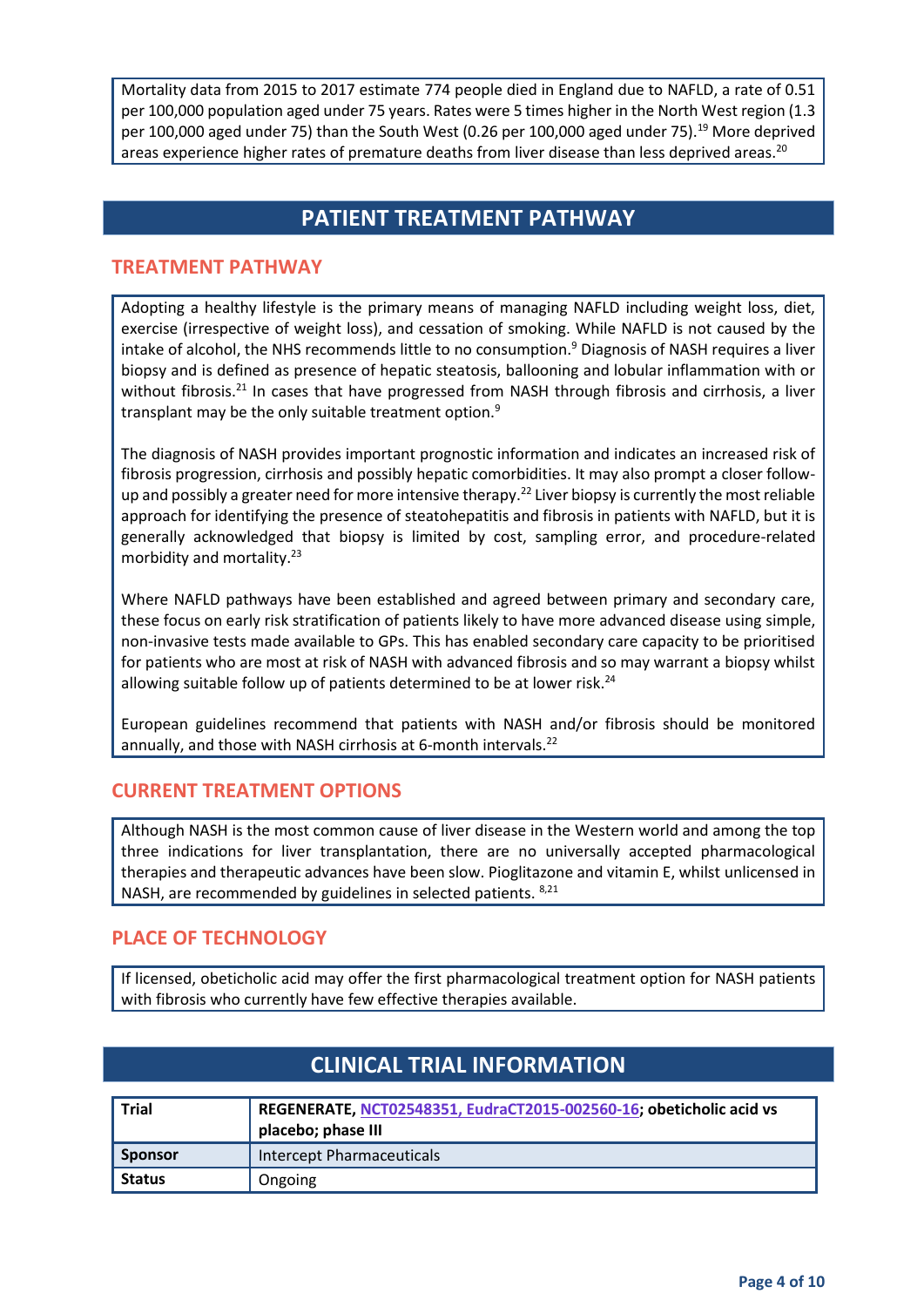Mortality data from 2015 to 2017 estimate 774 people died in England due to NAFLD, a rate of 0.51 per 100,000 population aged under 75 years. Rates were 5 times higher in the North West region (1.3 per 100,000 aged under 75) than the South West (0.26 per 100,000 aged under 75).<sup>19</sup> More deprived areas experience higher rates of premature deaths from liver disease than less deprived areas.<sup>20</sup>

## **PATIENT TREATMENT PATHWAY**

#### **TREATMENT PATHWAY**

Adopting a healthy lifestyle is the primary means of managing NAFLD including weight loss, diet, exercise (irrespective of weight loss), and cessation of smoking. While NAFLD is not caused by the intake of alcohol, the NHS recommends little to no consumption.<sup>9</sup> Diagnosis of NASH requires a liver biopsy and is defined as presence of hepatic steatosis, ballooning and lobular inflammation with or without fibrosis.<sup>21</sup> In cases that have progressed from NASH through fibrosis and cirrhosis, a liver transplant may be the only suitable treatment option.<sup>9</sup>

The diagnosis of NASH provides important prognostic information and indicates an increased risk of fibrosis progression, cirrhosis and possibly hepatic comorbidities. It may also prompt a closer followup and possibly a greater need for more intensive therapy.<sup>22</sup> Liver biopsy is currently the most reliable approach for identifying the presence of steatohepatitis and fibrosis in patients with NAFLD, but it is generally acknowledged that biopsy is limited by cost, sampling error, and procedure-related morbidity and mortality.<sup>23</sup>

Where NAFLD pathways have been established and agreed between primary and secondary care, these focus on early risk stratification of patients likely to have more advanced disease using simple, non-invasive tests made available to GPs. This has enabled secondary care capacity to be prioritised for patients who are most at risk of NASH with advanced fibrosis and so may warrant a biopsy whilst allowing suitable follow up of patients determined to be at lower risk.<sup>24</sup>

European guidelines recommend that patients with NASH and/or fibrosis should be monitored annually, and those with NASH cirrhosis at 6-month intervals.<sup>22</sup>

#### **CURRENT TREATMENT OPTIONS**

Although NASH is the most common cause of liver disease in the Western world and among the top three indications for liver transplantation, there are no universally accepted pharmacological therapies and therapeutic advances have been slow. Pioglitazone and vitamin E, whilst unlicensed in NASH, are recommended by guidelines in selected patients. 8,21

#### **PLACE OF TECHNOLOGY**

If licensed, obeticholic acid may offer the first pharmacological treatment option for NASH patients with fibrosis who currently have few effective therapies available.

| <b>Trial</b> | REGENERATE, NCT02548351, EudraCT2015-002560-16; obeticholic acid vs<br>placebo; phase III |
|--------------|-------------------------------------------------------------------------------------------|
| Sponsor      | Intercept Pharmaceuticals                                                                 |
| Status       | Ongoing                                                                                   |

## **CLINICAL TRIAL INFORMATION**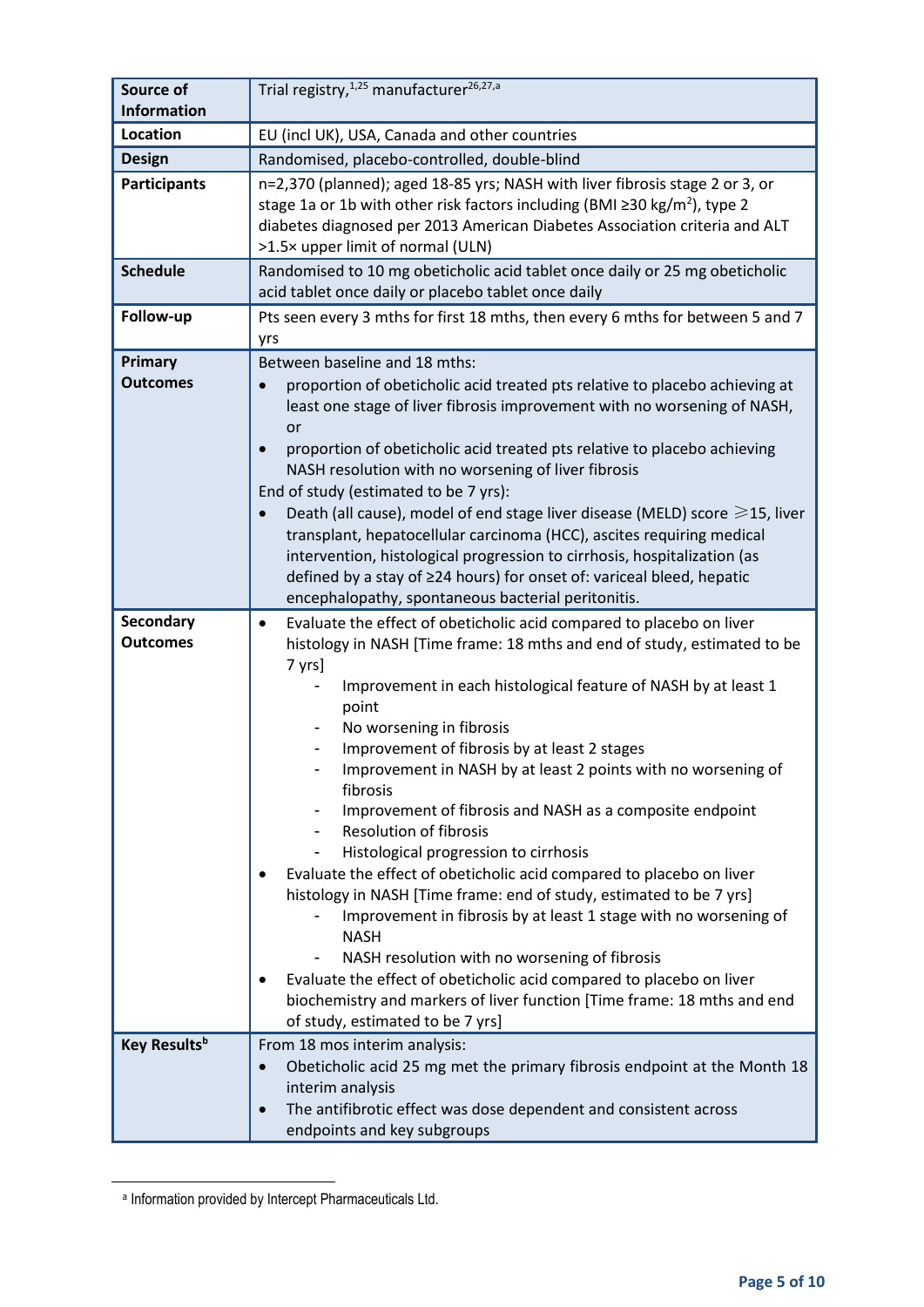| Source of<br><b>Information</b> | Trial registry, <sup>1,25</sup> manufacturer <sup>26,27,a</sup>                                                                                                                                                                                                                                                                                                                                                                                                                                                                                                                                                                                                                                                                                                                                                                                                                                                                        |  |
|---------------------------------|----------------------------------------------------------------------------------------------------------------------------------------------------------------------------------------------------------------------------------------------------------------------------------------------------------------------------------------------------------------------------------------------------------------------------------------------------------------------------------------------------------------------------------------------------------------------------------------------------------------------------------------------------------------------------------------------------------------------------------------------------------------------------------------------------------------------------------------------------------------------------------------------------------------------------------------|--|
| Location                        | EU (incl UK), USA, Canada and other countries                                                                                                                                                                                                                                                                                                                                                                                                                                                                                                                                                                                                                                                                                                                                                                                                                                                                                          |  |
| <b>Design</b>                   | Randomised, placebo-controlled, double-blind                                                                                                                                                                                                                                                                                                                                                                                                                                                                                                                                                                                                                                                                                                                                                                                                                                                                                           |  |
| <b>Participants</b>             | n=2,370 (planned); aged 18-85 yrs; NASH with liver fibrosis stage 2 or 3, or<br>stage 1a or 1b with other risk factors including (BMI $\geq$ 30 kg/m <sup>2</sup> ), type 2<br>diabetes diagnosed per 2013 American Diabetes Association criteria and ALT<br>>1.5× upper limit of normal (ULN)                                                                                                                                                                                                                                                                                                                                                                                                                                                                                                                                                                                                                                         |  |
| <b>Schedule</b>                 | Randomised to 10 mg obeticholic acid tablet once daily or 25 mg obeticholic<br>acid tablet once daily or placebo tablet once daily                                                                                                                                                                                                                                                                                                                                                                                                                                                                                                                                                                                                                                                                                                                                                                                                     |  |
| Follow-up                       | Pts seen every 3 mths for first 18 mths, then every 6 mths for between 5 and 7<br>yrs                                                                                                                                                                                                                                                                                                                                                                                                                                                                                                                                                                                                                                                                                                                                                                                                                                                  |  |
| Primary<br><b>Outcomes</b>      | Between baseline and 18 mths:<br>proportion of obeticholic acid treated pts relative to placebo achieving at<br>$\bullet$<br>least one stage of liver fibrosis improvement with no worsening of NASH,<br>or<br>proportion of obeticholic acid treated pts relative to placebo achieving<br>$\bullet$<br>NASH resolution with no worsening of liver fibrosis<br>End of study (estimated to be 7 yrs):<br>Death (all cause), model of end stage liver disease (MELD) score $\geq 15$ , liver<br>$\bullet$<br>transplant, hepatocellular carcinoma (HCC), ascites requiring medical<br>intervention, histological progression to cirrhosis, hospitalization (as<br>defined by a stay of ≥24 hours) for onset of: variceal bleed, hepatic<br>encephalopathy, spontaneous bacterial peritonitis.                                                                                                                                            |  |
| Secondary                       | Evaluate the effect of obeticholic acid compared to placebo on liver<br>$\bullet$                                                                                                                                                                                                                                                                                                                                                                                                                                                                                                                                                                                                                                                                                                                                                                                                                                                      |  |
| <b>Outcomes</b>                 | histology in NASH [Time frame: 18 mths and end of study, estimated to be<br>7 yrs]<br>Improvement in each histological feature of NASH by at least 1<br>point<br>No worsening in fibrosis<br>Improvement of fibrosis by at least 2 stages<br>Improvement in NASH by at least 2 points with no worsening of<br>fibrosis<br>Improvement of fibrosis and NASH as a composite endpoint<br><b>Resolution of fibrosis</b><br>Histological progression to cirrhosis<br>Evaluate the effect of obeticholic acid compared to placebo on liver<br>histology in NASH [Time frame: end of study, estimated to be 7 yrs]<br>Improvement in fibrosis by at least 1 stage with no worsening of<br><b>NASH</b><br>NASH resolution with no worsening of fibrosis<br>Evaluate the effect of obeticholic acid compared to placebo on liver<br>biochemistry and markers of liver function [Time frame: 18 mths and end<br>of study, estimated to be 7 yrs] |  |
| Key Results <sup>b</sup>        | From 18 mos interim analysis:<br>Obeticholic acid 25 mg met the primary fibrosis endpoint at the Month 18<br>$\bullet$<br>interim analysis<br>The antifibrotic effect was dose dependent and consistent across<br>$\bullet$<br>endpoints and key subgroups                                                                                                                                                                                                                                                                                                                                                                                                                                                                                                                                                                                                                                                                             |  |

a Information provided by Intercept Pharmaceuticals Ltd.

**.**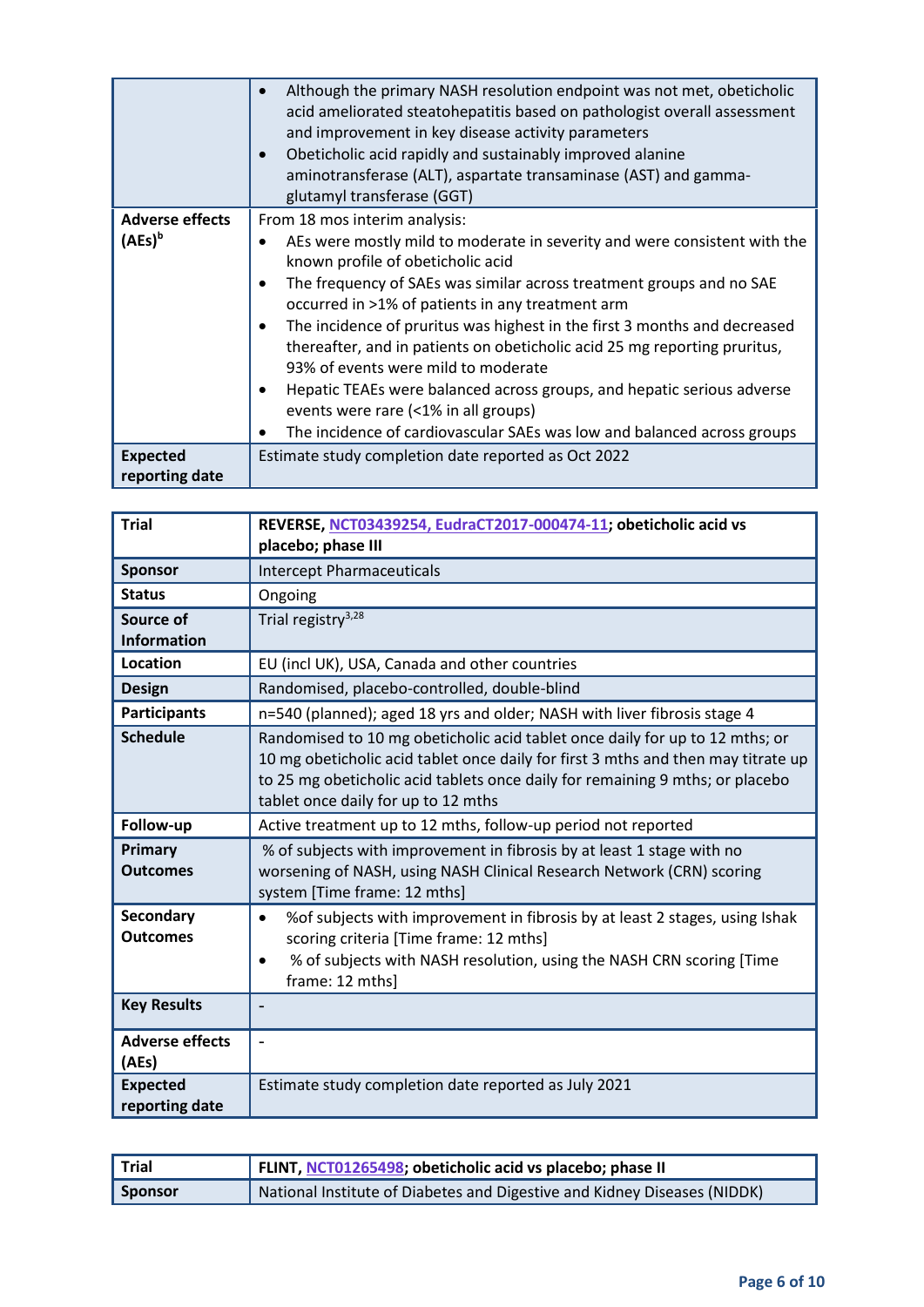|                        | Although the primary NASH resolution endpoint was not met, obeticholic<br>acid ameliorated steatohepatitis based on pathologist overall assessment<br>and improvement in key disease activity parameters<br>Obeticholic acid rapidly and sustainably improved alanine<br>$\bullet$<br>aminotransferase (ALT), aspartate transaminase (AST) and gamma-<br>glutamyl transferase (GGT) |
|------------------------|-------------------------------------------------------------------------------------------------------------------------------------------------------------------------------------------------------------------------------------------------------------------------------------------------------------------------------------------------------------------------------------|
| <b>Adverse effects</b> | From 18 mos interim analysis:                                                                                                                                                                                                                                                                                                                                                       |
| $(AEs)^b$              | AEs were mostly mild to moderate in severity and were consistent with the<br>known profile of obeticholic acid                                                                                                                                                                                                                                                                      |
|                        | The frequency of SAEs was similar across treatment groups and no SAE<br>$\bullet$<br>occurred in >1% of patients in any treatment arm                                                                                                                                                                                                                                               |
|                        | The incidence of pruritus was highest in the first 3 months and decreased<br>$\bullet$<br>thereafter, and in patients on obeticholic acid 25 mg reporting pruritus,<br>93% of events were mild to moderate                                                                                                                                                                          |
|                        | Hepatic TEAEs were balanced across groups, and hepatic serious adverse<br>٠<br>events were rare (<1% in all groups)                                                                                                                                                                                                                                                                 |
|                        | The incidence of cardiovascular SAEs was low and balanced across groups                                                                                                                                                                                                                                                                                                             |
| <b>Expected</b>        | Estimate study completion date reported as Oct 2022                                                                                                                                                                                                                                                                                                                                 |
| reporting date         |                                                                                                                                                                                                                                                                                                                                                                                     |

| <b>Trial</b>                        | REVERSE, NCT03439254, EudraCT2017-000474-11; obeticholic acid vs                                                                                                                                                                                                                          |
|-------------------------------------|-------------------------------------------------------------------------------------------------------------------------------------------------------------------------------------------------------------------------------------------------------------------------------------------|
|                                     | placebo; phase III                                                                                                                                                                                                                                                                        |
| <b>Sponsor</b>                      | <b>Intercept Pharmaceuticals</b>                                                                                                                                                                                                                                                          |
| <b>Status</b>                       | Ongoing                                                                                                                                                                                                                                                                                   |
| Source of                           | Trial registry <sup>3,28</sup>                                                                                                                                                                                                                                                            |
| <b>Information</b>                  |                                                                                                                                                                                                                                                                                           |
| <b>Location</b>                     | EU (incl UK), USA, Canada and other countries                                                                                                                                                                                                                                             |
| <b>Design</b>                       | Randomised, placebo-controlled, double-blind                                                                                                                                                                                                                                              |
| <b>Participants</b>                 | n=540 (planned); aged 18 yrs and older; NASH with liver fibrosis stage 4                                                                                                                                                                                                                  |
| <b>Schedule</b>                     | Randomised to 10 mg obeticholic acid tablet once daily for up to 12 mths; or<br>10 mg obeticholic acid tablet once daily for first 3 mths and then may titrate up<br>to 25 mg obeticholic acid tablets once daily for remaining 9 mths; or placebo<br>tablet once daily for up to 12 mths |
|                                     |                                                                                                                                                                                                                                                                                           |
| Follow-up                           | Active treatment up to 12 mths, follow-up period not reported                                                                                                                                                                                                                             |
| Primary<br><b>Outcomes</b>          | % of subjects with improvement in fibrosis by at least 1 stage with no<br>worsening of NASH, using NASH Clinical Research Network (CRN) scoring<br>system [Time frame: 12 mths]                                                                                                           |
| <b>Secondary</b><br><b>Outcomes</b> | % of subjects with improvement in fibrosis by at least 2 stages, using Ishak<br>$\bullet$<br>scoring criteria [Time frame: 12 mths]<br>% of subjects with NASH resolution, using the NASH CRN scoring [Time<br>$\bullet$<br>frame: 12 mths]                                               |
| <b>Key Results</b>                  |                                                                                                                                                                                                                                                                                           |
| <b>Adverse effects</b><br>(AEs)     |                                                                                                                                                                                                                                                                                           |

| <b>Trial</b>   | FLINT, NCT01265498; obeticholic acid vs placebo; phase II                  |
|----------------|----------------------------------------------------------------------------|
| <b>Sponsor</b> | A National Institute of Diabetes and Digestive and Kidney Diseases (NIDDK) |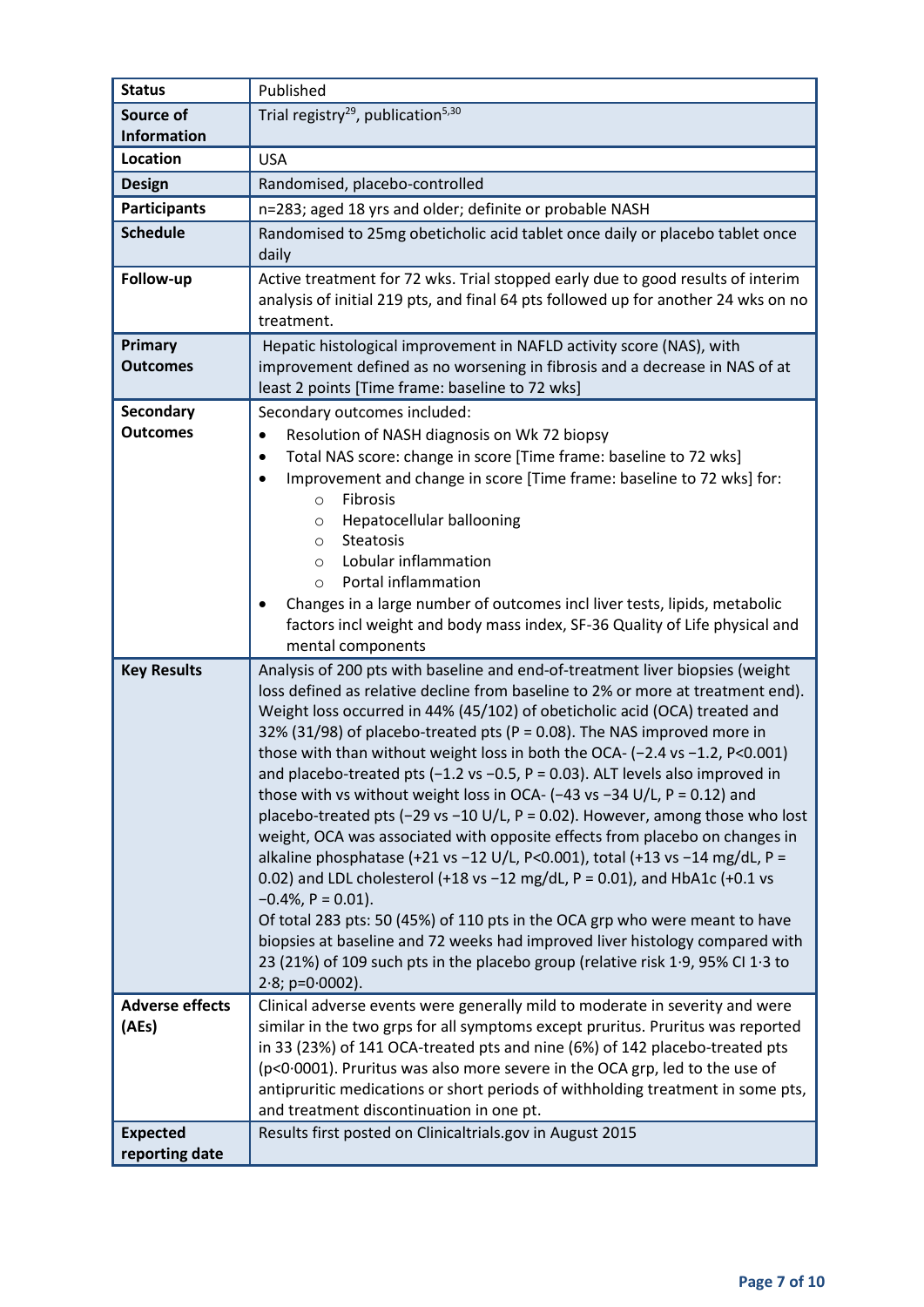| <b>Status</b>                                      | Published                                                                                                                                                                                                                                                                                                                                                                                                                                                                                                                                                                                                                                                                                                                                                                                                                                                                                                                                                                                                                                                                                                                                                                                                         |
|----------------------------------------------------|-------------------------------------------------------------------------------------------------------------------------------------------------------------------------------------------------------------------------------------------------------------------------------------------------------------------------------------------------------------------------------------------------------------------------------------------------------------------------------------------------------------------------------------------------------------------------------------------------------------------------------------------------------------------------------------------------------------------------------------------------------------------------------------------------------------------------------------------------------------------------------------------------------------------------------------------------------------------------------------------------------------------------------------------------------------------------------------------------------------------------------------------------------------------------------------------------------------------|
| Source of                                          | Trial registry <sup>29</sup> , publication <sup>5,30</sup>                                                                                                                                                                                                                                                                                                                                                                                                                                                                                                                                                                                                                                                                                                                                                                                                                                                                                                                                                                                                                                                                                                                                                        |
| <b>Information</b>                                 |                                                                                                                                                                                                                                                                                                                                                                                                                                                                                                                                                                                                                                                                                                                                                                                                                                                                                                                                                                                                                                                                                                                                                                                                                   |
| Location                                           | <b>USA</b>                                                                                                                                                                                                                                                                                                                                                                                                                                                                                                                                                                                                                                                                                                                                                                                                                                                                                                                                                                                                                                                                                                                                                                                                        |
| <b>Design</b>                                      | Randomised, placebo-controlled                                                                                                                                                                                                                                                                                                                                                                                                                                                                                                                                                                                                                                                                                                                                                                                                                                                                                                                                                                                                                                                                                                                                                                                    |
| <b>Participants</b>                                | n=283; aged 18 yrs and older; definite or probable NASH                                                                                                                                                                                                                                                                                                                                                                                                                                                                                                                                                                                                                                                                                                                                                                                                                                                                                                                                                                                                                                                                                                                                                           |
| <b>Schedule</b>                                    | Randomised to 25mg obeticholic acid tablet once daily or placebo tablet once<br>daily                                                                                                                                                                                                                                                                                                                                                                                                                                                                                                                                                                                                                                                                                                                                                                                                                                                                                                                                                                                                                                                                                                                             |
| Follow-up                                          | Active treatment for 72 wks. Trial stopped early due to good results of interim<br>analysis of initial 219 pts, and final 64 pts followed up for another 24 wks on no<br>treatment.                                                                                                                                                                                                                                                                                                                                                                                                                                                                                                                                                                                                                                                                                                                                                                                                                                                                                                                                                                                                                               |
| Primary<br><b>Outcomes</b>                         | Hepatic histological improvement in NAFLD activity score (NAS), with<br>improvement defined as no worsening in fibrosis and a decrease in NAS of at<br>least 2 points [Time frame: baseline to 72 wks]                                                                                                                                                                                                                                                                                                                                                                                                                                                                                                                                                                                                                                                                                                                                                                                                                                                                                                                                                                                                            |
| Secondary<br><b>Outcomes</b>                       | Secondary outcomes included:<br>Resolution of NASH diagnosis on Wk 72 biopsy<br>$\bullet$<br>Total NAS score: change in score [Time frame: baseline to 72 wks]<br>$\bullet$<br>Improvement and change in score [Time frame: baseline to 72 wks] for:<br>Fibrosis<br>$\circ$<br>Hepatocellular ballooning<br>$\circ$<br><b>Steatosis</b><br>$\circ$<br>Lobular inflammation<br>$\circ$<br>Portal inflammation<br>$\circ$<br>Changes in a large number of outcomes incl liver tests, lipids, metabolic<br>factors incl weight and body mass index, SF-36 Quality of Life physical and<br>mental components                                                                                                                                                                                                                                                                                                                                                                                                                                                                                                                                                                                                          |
| <b>Key Results</b>                                 | Analysis of 200 pts with baseline and end-of-treatment liver biopsies (weight<br>loss defined as relative decline from baseline to 2% or more at treatment end).<br>Weight loss occurred in 44% (45/102) of obeticholic acid (OCA) treated and<br>32% (31/98) of placebo-treated pts (P = 0.08). The NAS improved more in<br>those with than without weight loss in both the OCA- (-2.4 vs -1.2, P<0.001)<br>and placebo-treated pts $(-1.2 \text{ vs } -0.5, P = 0.03)$ . ALT levels also improved in<br>those with vs without weight loss in OCA- (-43 vs -34 U/L, P = 0.12) and<br>placebo-treated pts (-29 vs -10 U/L, P = 0.02). However, among those who lost<br>weight, OCA was associated with opposite effects from placebo on changes in<br>alkaline phosphatase (+21 vs -12 U/L, P<0.001), total (+13 vs -14 mg/dL, P =<br>0.02) and LDL cholesterol (+18 vs -12 mg/dL, P = 0.01), and HbA1c (+0.1 vs<br>$-0.4\%$ , P = 0.01).<br>Of total 283 pts: 50 (45%) of 110 pts in the OCA grp who were meant to have<br>biopsies at baseline and 72 weeks had improved liver histology compared with<br>23 (21%) of 109 such pts in the placebo group (relative risk 1.9, 95% CI 1.3 to<br>$2.8$ ; p=0.0002). |
| <b>Adverse effects</b><br>(AEs)<br><b>Expected</b> | Clinical adverse events were generally mild to moderate in severity and were<br>similar in the two grps for all symptoms except pruritus. Pruritus was reported<br>in 33 (23%) of 141 OCA-treated pts and nine (6%) of 142 placebo-treated pts<br>(p<0.0001). Pruritus was also more severe in the OCA grp, led to the use of<br>antipruritic medications or short periods of withholding treatment in some pts,<br>and treatment discontinuation in one pt.<br>Results first posted on Clinicaltrials.gov in August 2015                                                                                                                                                                                                                                                                                                                                                                                                                                                                                                                                                                                                                                                                                         |
| reporting date                                     |                                                                                                                                                                                                                                                                                                                                                                                                                                                                                                                                                                                                                                                                                                                                                                                                                                                                                                                                                                                                                                                                                                                                                                                                                   |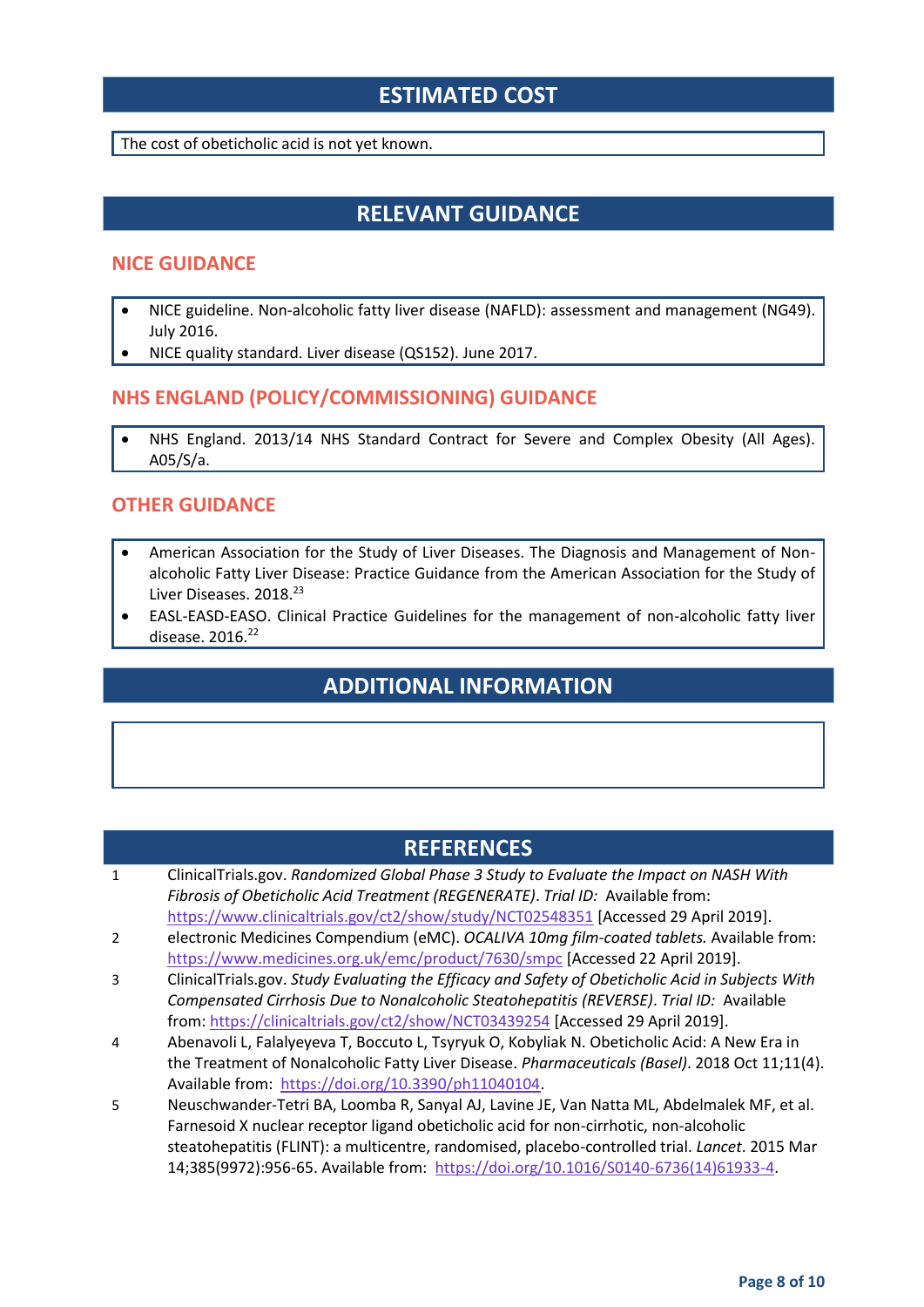## **ESTIMATED COST**

The cost of obeticholic acid is not yet known.

## **RELEVANT GUIDANCE**

#### **NICE GUIDANCE**

- NICE guideline. Non-alcoholic fatty liver disease (NAFLD): assessment and management (NG49). July 2016.
- NICE quality standard. Liver disease (QS152). June 2017.

#### **NHS ENGLAND (POLICY/COMMISSIONING) GUIDANCE**

 NHS England. 2013/14 NHS Standard Contract for Severe and Complex Obesity (All Ages). A05/S/a.

#### **OTHER GUIDANCE**

- American Association for the Study of Liver Diseases. The Diagnosis and Management of Nonalcoholic Fatty Liver Disease: Practice Guidance from the American Association for the Study of Liver Diseases. 2018.<sup>23</sup>
- EASL-EASD-EASO. Clinical Practice Guidelines for the management of non-alcoholic fatty liver disease. 2016. 22

## **ADDITIONAL INFORMATION**

#### **REFERENCES**

- 1 ClinicalTrials.gov. *Randomized Global Phase 3 Study to Evaluate the Impact on NASH With Fibrosis of Obeticholic Acid Treatment (REGENERATE)*. *Trial ID:* Available from: <https://www.clinicaltrials.gov/ct2/show/study/NCT02548351> [Accessed 29 April 2019].
- 2 electronic Medicines Compendium (eMC). *OCALIVA 10mg film-coated tablets.* Available from: <https://www.medicines.org.uk/emc/product/7630/smpc> [Accessed 22 April 2019].
- 3 ClinicalTrials.gov. *Study Evaluating the Efficacy and Safety of Obeticholic Acid in Subjects With Compensated Cirrhosis Due to Nonalcoholic Steatohepatitis (REVERSE)*. *Trial ID:* Available from:<https://clinicaltrials.gov/ct2/show/NCT03439254> [Accessed 29 April 2019].
- 4 Abenavoli L, Falalyeyeva T, Boccuto L, Tsyryuk O, Kobyliak N. Obeticholic Acid: A New Era in the Treatment of Nonalcoholic Fatty Liver Disease. *Pharmaceuticals (Basel)*. 2018 Oct 11;11(4). Available from: [https://doi.org/10.3390/ph11040104.](https://doi.org/10.3390/ph11040104)
- 5 Neuschwander-Tetri BA, Loomba R, Sanyal AJ, Lavine JE, Van Natta ML, Abdelmalek MF, et al. Farnesoid X nuclear receptor ligand obeticholic acid for non-cirrhotic, non-alcoholic steatohepatitis (FLINT): a multicentre, randomised, placebo-controlled trial. *Lancet*. 2015 Mar 14;385(9972):956-65. Available from: [https://doi.org/10.1016/S0140-6736\(14\)61933-4.](https://doi.org/10.1016/S0140-6736(14)61933-4)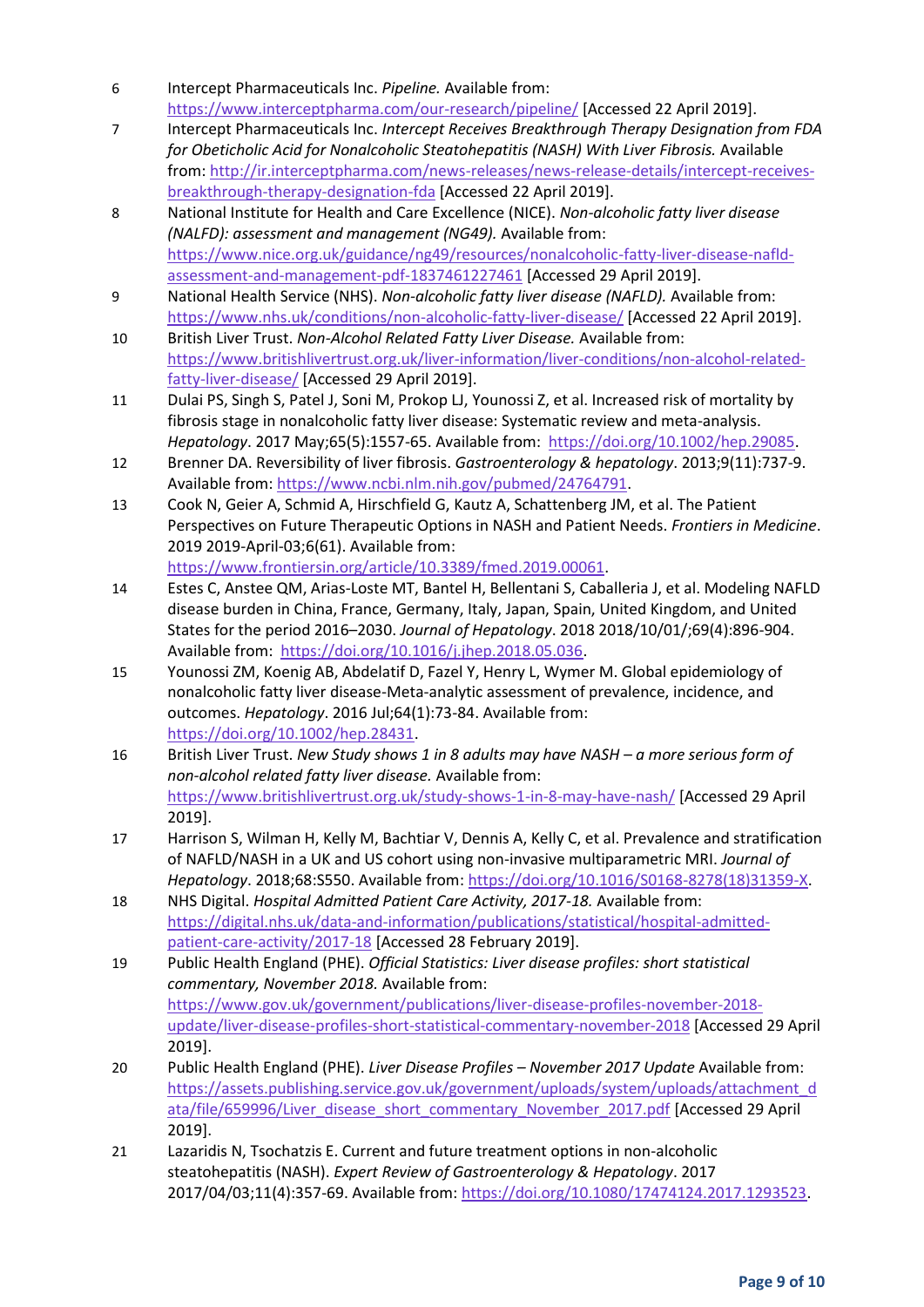- 6 Intercept Pharmaceuticals Inc. *Pipeline.* Available from: <https://www.interceptpharma.com/our-research/pipeline/> [Accessed 22 April 2019].
- 7 Intercept Pharmaceuticals Inc. *Intercept Receives Breakthrough Therapy Designation from FDA for Obeticholic Acid for Nonalcoholic Steatohepatitis (NASH) With Liver Fibrosis.* Available from: [http://ir.interceptpharma.com/news-releases/news-release-details/intercept-receives](http://ir.interceptpharma.com/news-releases/news-release-details/intercept-receives-breakthrough-therapy-designation-fda)[breakthrough-therapy-designation-fda](http://ir.interceptpharma.com/news-releases/news-release-details/intercept-receives-breakthrough-therapy-designation-fda) [Accessed 22 April 2019].
- 8 National Institute for Health and Care Excellence (NICE). *Non-alcoholic fatty liver disease (NALFD): assessment and management (NG49).* Available from: [https://www.nice.org.uk/guidance/ng49/resources/nonalcoholic-fatty-liver-disease-nafld](https://www.nice.org.uk/guidance/ng49/resources/nonalcoholic-fatty-liver-disease-nafld-assessment-and-management-pdf-1837461227461)[assessment-and-management-pdf-1837461227461](https://www.nice.org.uk/guidance/ng49/resources/nonalcoholic-fatty-liver-disease-nafld-assessment-and-management-pdf-1837461227461) [Accessed 29 April 2019].
- 9 National Health Service (NHS). *Non-alcoholic fatty liver disease (NAFLD).* Available from: <https://www.nhs.uk/conditions/non-alcoholic-fatty-liver-disease/> [Accessed 22 April 2019].
- 10 British Liver Trust. *Non-Alcohol Related Fatty Liver Disease.* Available from: [https://www.britishlivertrust.org.uk/liver-information/liver-conditions/non-alcohol-related](https://www.britishlivertrust.org.uk/liver-information/liver-conditions/non-alcohol-related-fatty-liver-disease/)[fatty-liver-disease/](https://www.britishlivertrust.org.uk/liver-information/liver-conditions/non-alcohol-related-fatty-liver-disease/) [Accessed 29 April 2019].
- 11 Dulai PS, Singh S, Patel J, Soni M, Prokop LJ, Younossi Z, et al. Increased risk of mortality by fibrosis stage in nonalcoholic fatty liver disease: Systematic review and meta-analysis. *Hepatology*. 2017 May;65(5):1557-65. Available from: [https://doi.org/10.1002/hep.29085.](https://doi.org/10.1002/hep.29085)
- 12 Brenner DA. Reversibility of liver fibrosis. *Gastroenterology & hepatology*. 2013;9(11):737-9. Available from[: https://www.ncbi.nlm.nih.gov/pubmed/24764791.](https://www.ncbi.nlm.nih.gov/pubmed/24764791)
- 13 Cook N, Geier A, Schmid A, Hirschfield G, Kautz A, Schattenberg JM, et al. The Patient Perspectives on Future Therapeutic Options in NASH and Patient Needs. *Frontiers in Medicine*. 2019 2019-April-03;6(61). Available from: [https://www.frontiersin.org/article/10.3389/fmed.2019.00061.](https://www.frontiersin.org/article/10.3389/fmed.2019.00061)
- 14 Estes C, Anstee QM, Arias-Loste MT, Bantel H, Bellentani S, Caballeria J, et al. Modeling NAFLD disease burden in China, France, Germany, Italy, Japan, Spain, United Kingdom, and United States for the period 2016–2030. *Journal of Hepatology*. 2018 2018/10/01/;69(4):896-904. Available from: [https://doi.org/10.1016/j.jhep.2018.05.036.](https://doi.org/10.1016/j.jhep.2018.05.036)
- 15 Younossi ZM, Koenig AB, Abdelatif D, Fazel Y, Henry L, Wymer M. Global epidemiology of nonalcoholic fatty liver disease-Meta-analytic assessment of prevalence, incidence, and outcomes. *Hepatology*. 2016 Jul;64(1):73-84. Available from: [https://doi.org/10.1002/hep.28431.](https://doi.org/10.1002/hep.28431)
- 16 British Liver Trust. *New Study shows 1 in 8 adults may have NASH – a more serious form of non-alcohol related fatty liver disease.* Available from: <https://www.britishlivertrust.org.uk/study-shows-1-in-8-may-have-nash/> [Accessed 29 April 2019].
- 17 Harrison S, Wilman H, Kelly M, Bachtiar V, Dennis A, Kelly C, et al. Prevalence and stratification of NAFLD/NASH in a UK and US cohort using non-invasive multiparametric MRI. *Journal of Hepatology*. 2018;68:S550. Available from[: https://doi.org/10.1016/S0168-8278\(18\)31359-X.](https://doi.org/10.1016/S0168-8278(18)31359-X)
- 18 NHS Digital. *Hospital Admitted Patient Care Activity, 2017-18.* Available from: [https://digital.nhs.uk/data-and-information/publications/statistical/hospital-admitted](https://digital.nhs.uk/data-and-information/publications/statistical/hospital-admitted-patient-care-activity/2017-18)[patient-care-activity/2017-18](https://digital.nhs.uk/data-and-information/publications/statistical/hospital-admitted-patient-care-activity/2017-18) [Accessed 28 February 2019].
- 19 Public Health England (PHE). *Official Statistics: Liver disease profiles: short statistical commentary, November 2018.* Available from: [https://www.gov.uk/government/publications/liver-disease-profiles-november-2018](https://www.gov.uk/government/publications/liver-disease-profiles-november-2018-update/liver-disease-profiles-short-statistical-commentary-november-2018) [update/liver-disease-profiles-short-statistical-commentary-november-2018](https://www.gov.uk/government/publications/liver-disease-profiles-november-2018-update/liver-disease-profiles-short-statistical-commentary-november-2018) [Accessed 29 April 2019].
- 20 Public Health England (PHE). *Liver Disease Profiles – November 2017 Update* Available from: [https://assets.publishing.service.gov.uk/government/uploads/system/uploads/attachment\\_d](https://assets.publishing.service.gov.uk/government/uploads/system/uploads/attachment_data/file/659996/Liver_disease_short_commentary_November_2017.pdf) [ata/file/659996/Liver\\_disease\\_short\\_commentary\\_November\\_2017.pdf](https://assets.publishing.service.gov.uk/government/uploads/system/uploads/attachment_data/file/659996/Liver_disease_short_commentary_November_2017.pdf) [Accessed 29 April 2019].
- 21 Lazaridis N, Tsochatzis E. Current and future treatment options in non-alcoholic steatohepatitis (NASH). *Expert Review of Gastroenterology & Hepatology*. 2017 2017/04/03;11(4):357-69. Available from: [https://doi.org/10.1080/17474124.2017.1293523.](https://doi.org/10.1080/17474124.2017.1293523)